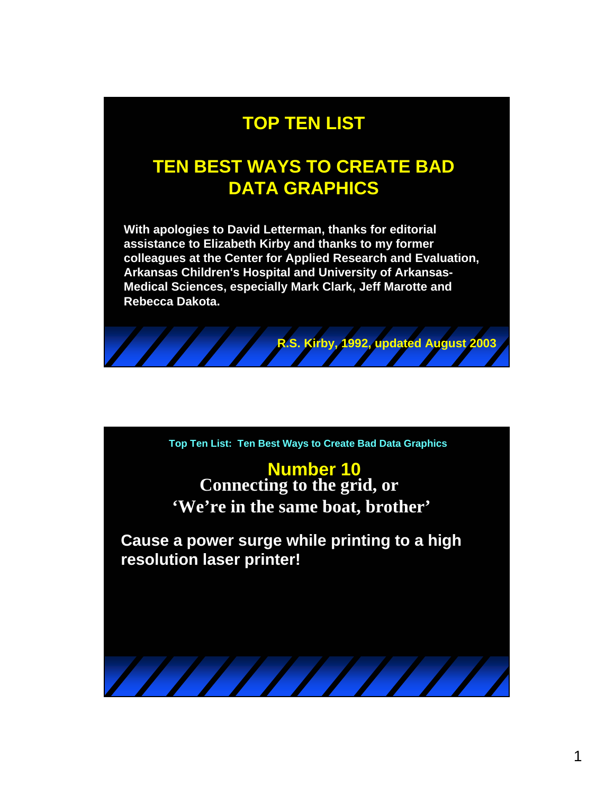## **TOP TEN LIST**

## **TEN BEST WAYS TO CREATE BAD DATA GRAPHICS**

**With apologies to David Letterman, thanks for editorial assistance to Elizabeth Kirby and thanks to my former colleagues at the Center for Applied Research and Evaluation, Arkansas Children's Hospital and University of Arkansas-Medical Sciences, especially Mark Clark, Jeff Marotte and Rebecca Dakota.**



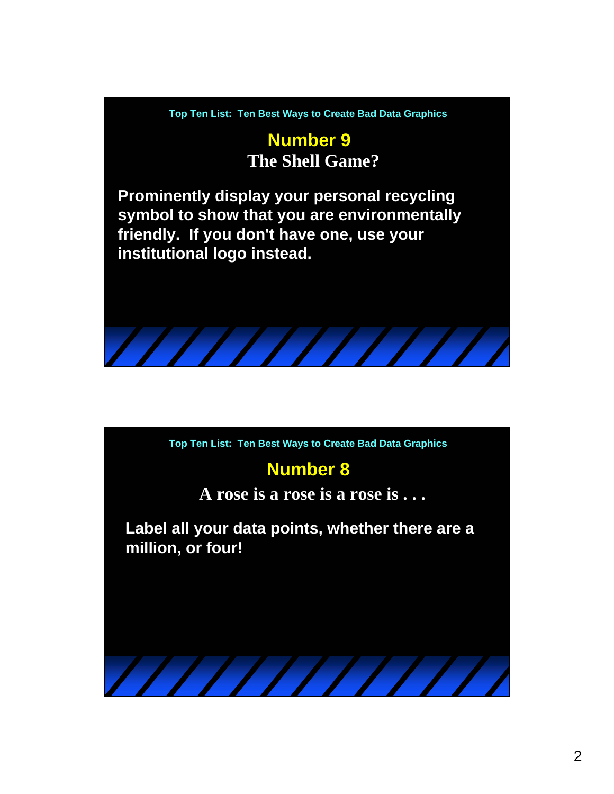**Number 9 The Shell Game?**

**Prominently display your personal recycling symbol to show that you are environmentally friendly. If you don't have one, use your institutional logo instead.**

**Top Ten List: Ten Best Ways to Create Bad Data Graphics**

#### **Number 8**

**A rose is a rose is a rose is . . .**

**Label all your data points, whether there are a million, or four!**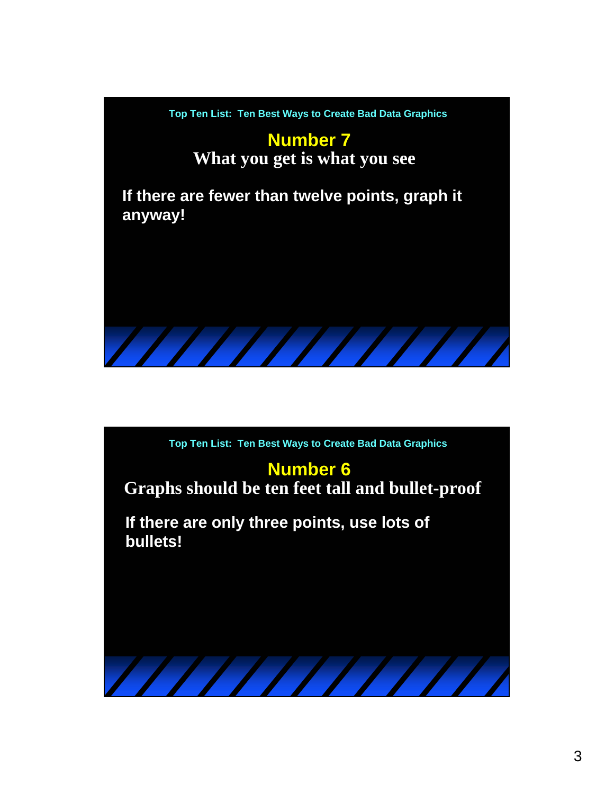

#### **Number 6**

**Graphs should be ten feet tall and bullet-proof**

**If there are only three points, use lots of bullets!**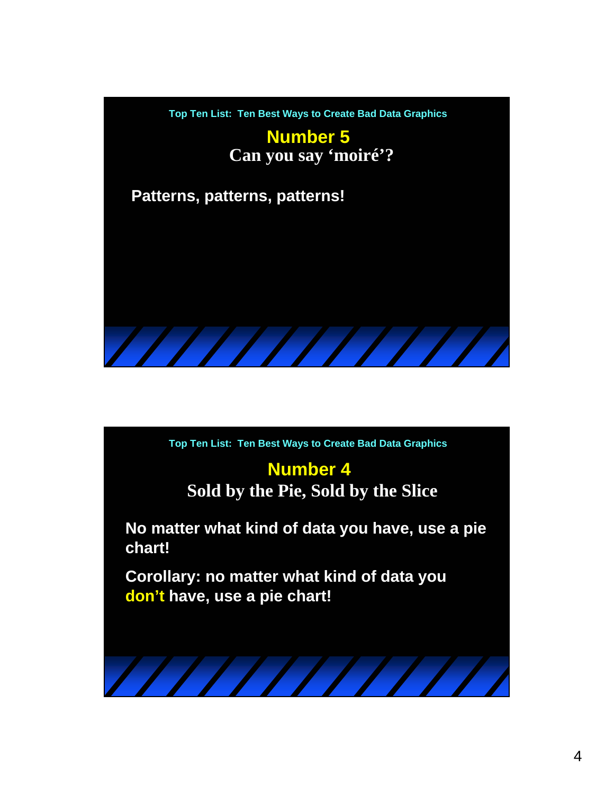

# **Number 4**

**Sold by the Pie, Sold by the Slice**

**No matter what kind of data you have, use a pie chart!**

**Corollary: no matter what kind of data you don't have, use a pie chart!**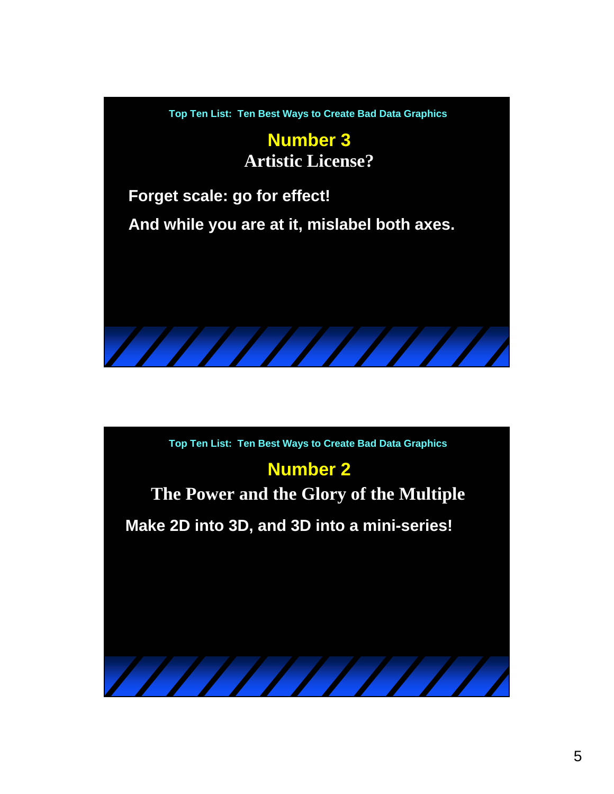

# **Number 2**

**The Power and the Glory of the Multiple**

**Make 2D into 3D, and 3D into a mini-series!**